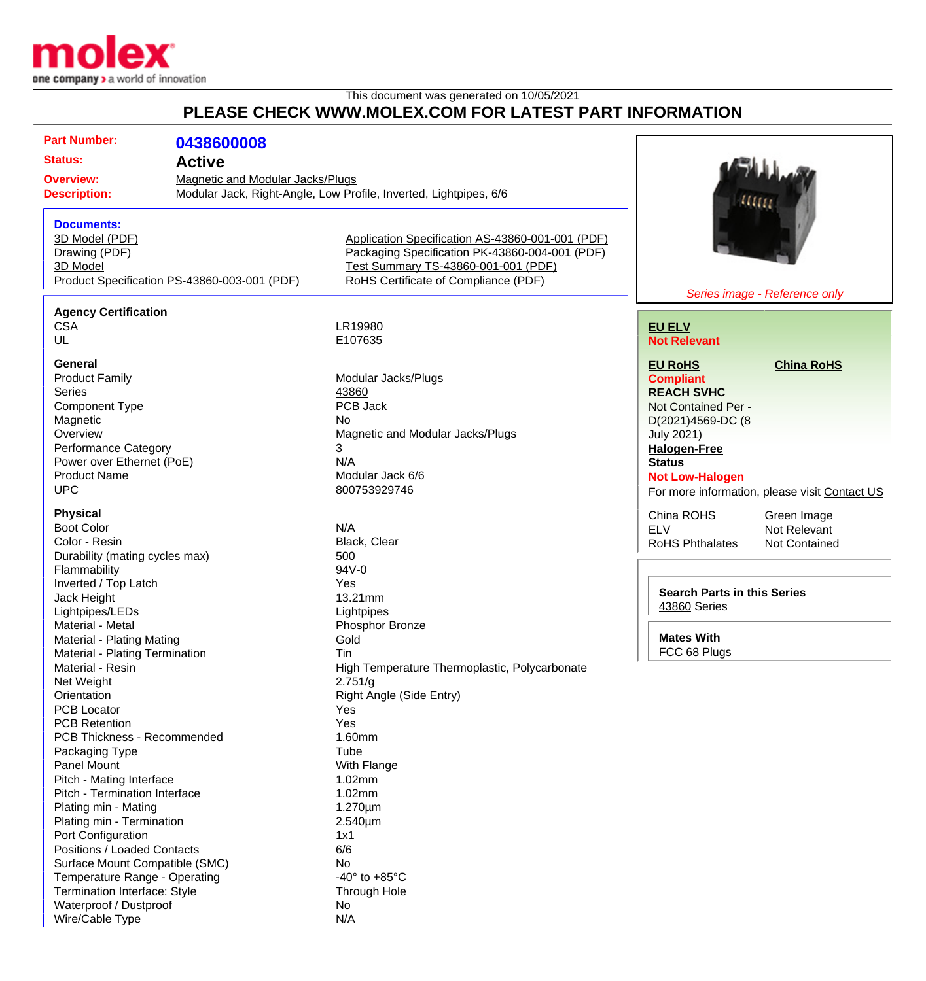

Wire/Cable Type N/A

## This document was generated on 10/05/2021 **PLEASE CHECK WWW.MOLEX.COM FOR LATEST PART INFORMATION**

| <b>Part Number:</b>                                                                                              | 0438600008                                                        |                                                                                                                                                                                   |                                                         |
|------------------------------------------------------------------------------------------------------------------|-------------------------------------------------------------------|-----------------------------------------------------------------------------------------------------------------------------------------------------------------------------------|---------------------------------------------------------|
| <b>Status:</b><br><b>Active</b>                                                                                  |                                                                   |                                                                                                                                                                                   |                                                         |
| Magnetic and Modular Jacks/Plugs<br><b>Overview:</b>                                                             |                                                                   |                                                                                                                                                                                   |                                                         |
| <b>Description:</b>                                                                                              | Modular Jack, Right-Angle, Low Profile, Inverted, Lightpipes, 6/6 |                                                                                                                                                                                   | <b>HIIIII</b>                                           |
| <b>Documents:</b><br>3D Model (PDF)<br>Drawing (PDF)<br>3D Model<br>Product Specification PS-43860-003-001 (PDF) |                                                                   | Application Specification AS-43860-001-001 (PDF)<br>Packaging Specification PK-43860-004-001 (PDF)<br>Test Summary TS-43860-001-001 (PDF)<br>RoHS Certificate of Compliance (PDF) |                                                         |
|                                                                                                                  |                                                                   |                                                                                                                                                                                   | Series image - Reference only                           |
| <b>Agency Certification</b>                                                                                      |                                                                   |                                                                                                                                                                                   |                                                         |
| <b>CSA</b>                                                                                                       |                                                                   | LR19980                                                                                                                                                                           | <b>EU ELV</b>                                           |
| UL                                                                                                               |                                                                   | E107635                                                                                                                                                                           | <b>Not Relevant</b>                                     |
| <b>General</b>                                                                                                   |                                                                   |                                                                                                                                                                                   | <b>EU RoHS</b><br><b>China RoHS</b>                     |
| <b>Product Family</b>                                                                                            |                                                                   | Modular Jacks/Plugs                                                                                                                                                               | <b>Compliant</b>                                        |
| <b>Series</b>                                                                                                    |                                                                   | 43860                                                                                                                                                                             | <b>REACH SVHC</b>                                       |
| <b>Component Type</b>                                                                                            |                                                                   | PCB Jack                                                                                                                                                                          | Not Contained Per -                                     |
| Magnetic                                                                                                         |                                                                   | No                                                                                                                                                                                | D(2021)4569-DC (8                                       |
| Overview                                                                                                         |                                                                   | <b>Magnetic and Modular Jacks/Plugs</b>                                                                                                                                           | <b>July 2021)</b>                                       |
| <b>Performance Category</b>                                                                                      |                                                                   | 3                                                                                                                                                                                 | <b>Halogen-Free</b>                                     |
| Power over Ethernet (PoE)                                                                                        |                                                                   | N/A                                                                                                                                                                               | <b>Status</b>                                           |
| <b>Product Name</b>                                                                                              |                                                                   | Modular Jack 6/6                                                                                                                                                                  | <b>Not Low-Halogen</b>                                  |
| <b>UPC</b>                                                                                                       |                                                                   | 800753929746                                                                                                                                                                      | For more information, please visit Contact US           |
| <b>Physical</b>                                                                                                  |                                                                   |                                                                                                                                                                                   |                                                         |
| <b>Boot Color</b>                                                                                                |                                                                   | N/A                                                                                                                                                                               | China ROHS<br>Green Image<br><b>ELV</b><br>Not Relevant |
| Color - Resin                                                                                                    |                                                                   | Black, Clear                                                                                                                                                                      |                                                         |
|                                                                                                                  |                                                                   | 500                                                                                                                                                                               | <b>RoHS Phthalates</b><br><b>Not Contained</b>          |
| Durability (mating cycles max)                                                                                   |                                                                   | 94V-0                                                                                                                                                                             |                                                         |
| Flammability                                                                                                     |                                                                   | Yes                                                                                                                                                                               |                                                         |
| Inverted / Top Latch                                                                                             |                                                                   | 13.21mm                                                                                                                                                                           | <b>Search Parts in this Series</b>                      |
| Jack Height                                                                                                      |                                                                   |                                                                                                                                                                                   | 43860 Series                                            |
| Lightpipes/LEDs                                                                                                  |                                                                   | Lightpipes                                                                                                                                                                        |                                                         |
| <b>Material - Metal</b>                                                                                          |                                                                   | Phosphor Bronze<br>Gold                                                                                                                                                           | <b>Mates With</b>                                       |
| Material - Plating Mating                                                                                        |                                                                   |                                                                                                                                                                                   | FCC 68 Plugs                                            |
| Material - Plating Termination<br>Material - Resin                                                               |                                                                   | Tin<br>High Temperature Thermoplastic, Polycarbonate                                                                                                                              |                                                         |
|                                                                                                                  |                                                                   | 2.751/g                                                                                                                                                                           |                                                         |
| Net Weight<br>Orientation                                                                                        |                                                                   | Right Angle (Side Entry)                                                                                                                                                          |                                                         |
| <b>PCB Locator</b>                                                                                               |                                                                   | Yes                                                                                                                                                                               |                                                         |
| <b>PCB Retention</b>                                                                                             |                                                                   | Yes                                                                                                                                                                               |                                                         |
| PCB Thickness - Recommended                                                                                      |                                                                   | 1.60mm                                                                                                                                                                            |                                                         |
| Packaging Type                                                                                                   |                                                                   | Tube                                                                                                                                                                              |                                                         |
| <b>Panel Mount</b>                                                                                               |                                                                   | With Flange                                                                                                                                                                       |                                                         |
| Pitch - Mating Interface                                                                                         |                                                                   | 1.02mm                                                                                                                                                                            |                                                         |
| Pitch - Termination Interface                                                                                    |                                                                   | 1.02mm                                                                                                                                                                            |                                                         |
| Plating min - Mating                                                                                             |                                                                   | $1.270 \mu m$                                                                                                                                                                     |                                                         |
| Plating min - Termination                                                                                        |                                                                   | $2.540 \mu m$                                                                                                                                                                     |                                                         |
| Port Configuration                                                                                               |                                                                   | 1x1                                                                                                                                                                               |                                                         |
| Positions / Loaded Contacts                                                                                      |                                                                   | 6/6                                                                                                                                                                               |                                                         |
| Surface Mount Compatible (SMC)                                                                                   |                                                                   | No                                                                                                                                                                                |                                                         |
| Temperature Range - Operating                                                                                    |                                                                   | -40 $\degree$ to +85 $\degree$ C                                                                                                                                                  |                                                         |
| Termination Interface: Style                                                                                     |                                                                   | Through Hole                                                                                                                                                                      |                                                         |
| Waterproof / Dustproof                                                                                           |                                                                   | No                                                                                                                                                                                |                                                         |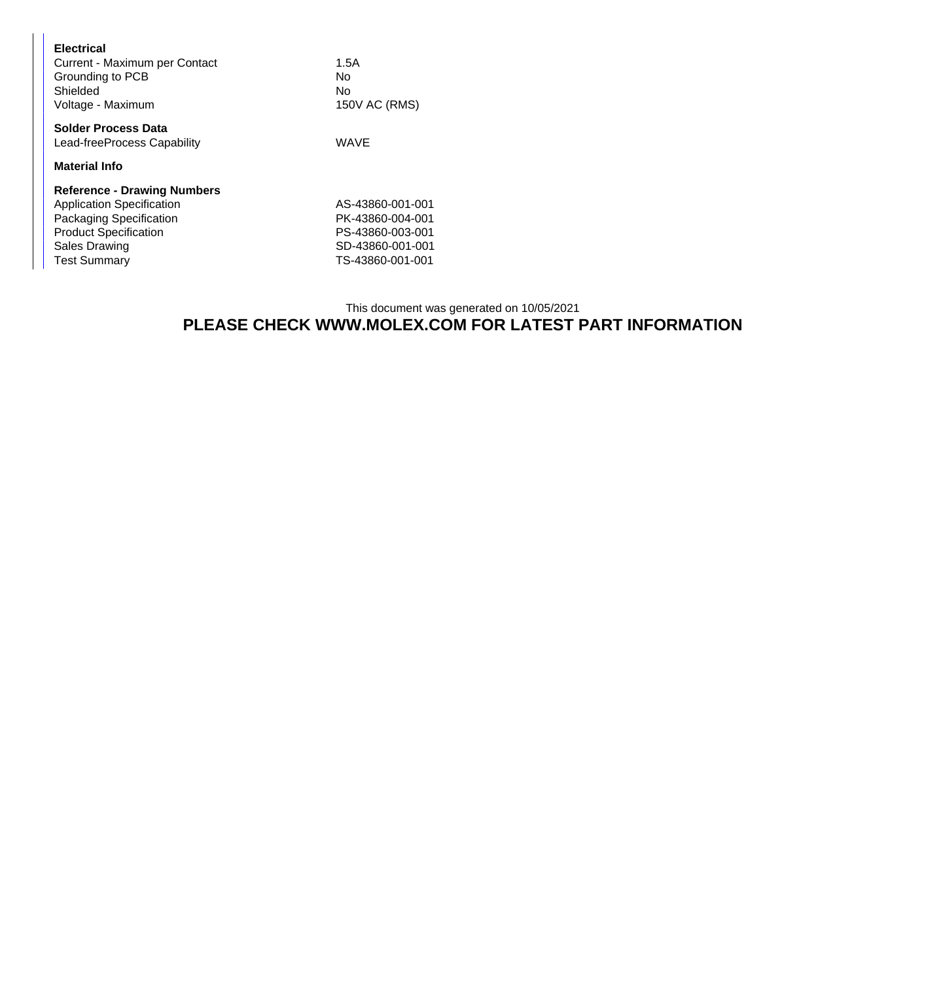| <b>Electrical</b><br>Current - Maximum per Contact<br>Grounding to PCB<br>Shielded<br>Voltage - Maximum | 1.5A<br>No<br>No<br>150V AC (RMS) |  |  |  |  |
|---------------------------------------------------------------------------------------------------------|-----------------------------------|--|--|--|--|
| <b>Solder Process Data</b><br>Lead-freeProcess Capability                                               | WAVE                              |  |  |  |  |
| <b>Material Info</b>                                                                                    |                                   |  |  |  |  |
| <b>Reference - Drawing Numbers</b>                                                                      |                                   |  |  |  |  |
| <b>Application Specification</b>                                                                        | AS-43860-001-001                  |  |  |  |  |
| Packaging Specification                                                                                 | PK-43860-004-001                  |  |  |  |  |
| <b>Product Specification</b>                                                                            | PS-43860-003-001                  |  |  |  |  |
| Sales Drawing                                                                                           | SD-43860-001-001                  |  |  |  |  |
| <b>Test Summary</b>                                                                                     | TS-43860-001-001                  |  |  |  |  |
|                                                                                                         |                                   |  |  |  |  |

## This document was generated on 10/05/2021 **PLEASE CHECK WWW.MOLEX.COM FOR LATEST PART INFORMATION**